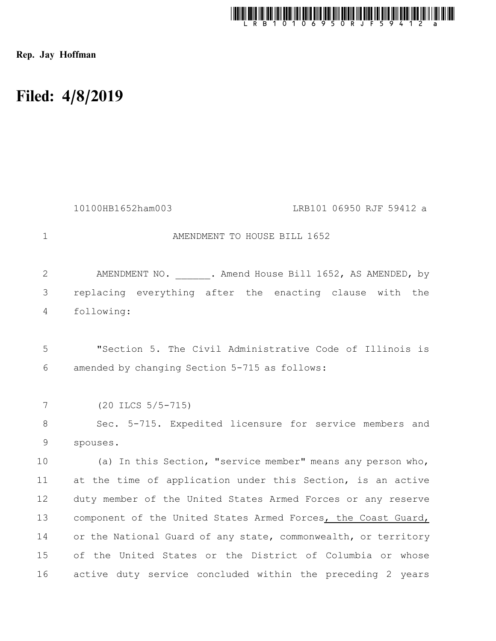

Rep. Jay Hoffman

## Filed: 4/8/2019

|                | 10100HB1652ham003<br>LRB101 06950 RJF 59412 a                  |
|----------------|----------------------------------------------------------------|
| $\mathbf 1$    | AMENDMENT TO HOUSE BILL 1652                                   |
| $\overline{2}$ | AMENDMENT NO. 3. Amend House Bill 1652, AS AMENDED, by         |
| 3              | replacing everything after the enacting clause with the        |
| $\overline{4}$ | following:                                                     |
|                |                                                                |
| 5              | "Section 5. The Civil Administrative Code of Illinois is       |
| 6              | amended by changing Section 5-715 as follows:                  |
|                |                                                                |
| 7              | $(20$ ILCS $5/5-715)$                                          |
| $8\,$          | Sec. 5-715. Expedited licensure for service members and        |
| $\mathsf 9$    | spouses.                                                       |
| 10             | (a) In this Section, "service member" means any person who,    |
| 11             | at the time of application under this Section, is an active    |
| 12             | duty member of the United States Armed Forces or any reserve   |
| 13             | component of the United States Armed Forces, the Coast Guard,  |
| 14             | or the National Guard of any state, commonwealth, or territory |
| 15             | of the United States or the District of Columbia or whose      |
| 16             | active duty service concluded within the preceding 2 years     |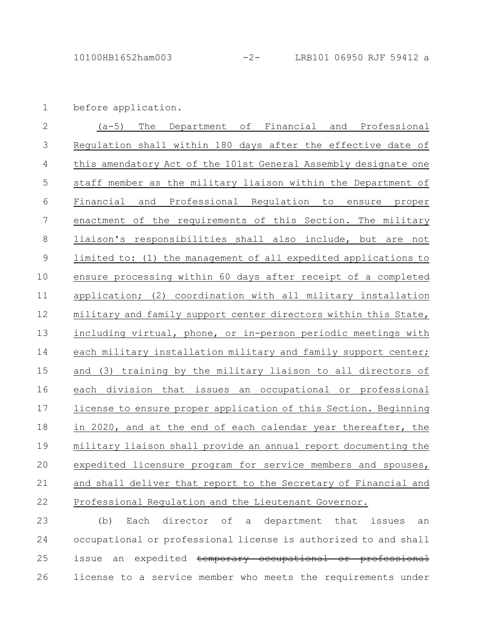before application. 1

(a-5) The Department of Financial and Professional Regulation shall within 180 days after the effective date of this amendatory Act of the 101st General Assembly designate one staff member as the military liaison within the Department of Financial and Professional Regulation to ensure proper enactment of the requirements of this Section. The military liaison's responsibilities shall also include, but are not limited to: (1) the management of all expedited applications to ensure processing within 60 days after receipt of a completed application; (2) coordination with all military installation military and family support center directors within this State, including virtual, phone, or in-person periodic meetings with each military installation military and family support center; and (3) training by the military liaison to all directors of each division that issues an occupational or professional license to ensure proper application of this Section. Beginning in 2020, and at the end of each calendar year thereafter, the military liaison shall provide an annual report documenting the expedited licensure program for service members and spouses, and shall deliver that report to the Secretary of Financial and Professional Regulation and the Lieutenant Governor. 2 3 4 5 6 7 8 9 10 11 12 13 14 15 16 17 18 19 20 21 22

(b) Each director of a department that issues an occupational or professional license is authorized to and shall issue an expedited temporary occupational or professional license to a service member who meets the requirements under 23 24 25 26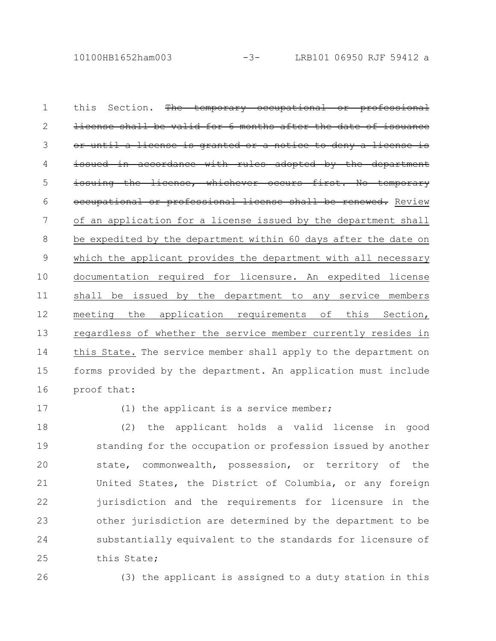this Section. The temporary occupational or professional license shall be valid for 6 months after the date a license is granted or a notice to deny a issued in accordance with rules adopted by the issuing the license, whichever occurs first. No occupational or professional license shall be renewed. Review of an application for a license issued by the department shall be expedited by the department within 60 days after the date on which the applicant provides the department with all necessary documentation required for licensure. An expedited license shall be issued by the department to any service members meeting the application requirements of this Section, regardless of whether the service member currently resides in this State. The service member shall apply to the department on forms provided by the department. An application must include proof that: 1 2 3 4 5 6 7 8 9 10 11 12 13 14 15 16

17

(1) the applicant is a service member;

(2) the applicant holds a valid license in good standing for the occupation or profession issued by another state, commonwealth, possession, or territory of the United States, the District of Columbia, or any foreign jurisdiction and the requirements for licensure in the other jurisdiction are determined by the department to be substantially equivalent to the standards for licensure of this State; 18 19 20 21 22 23 24 25

26

(3) the applicant is assigned to a duty station in this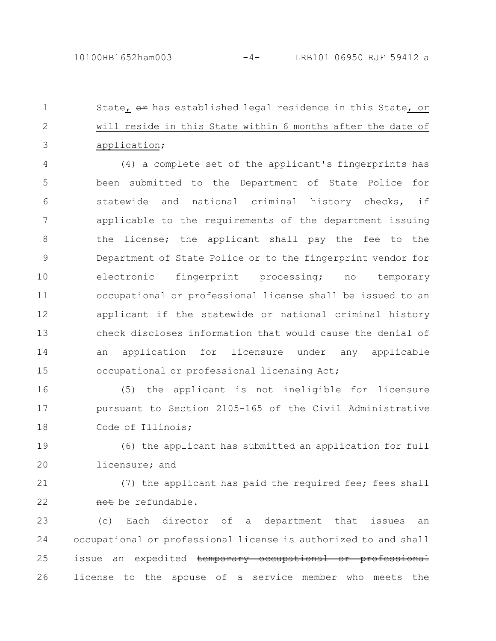State, or has established legal residence in this State, or will reside in this State within 6 months after the date of application; 1 2 3

(4) a complete set of the applicant's fingerprints has been submitted to the Department of State Police for statewide and national criminal history checks, if applicable to the requirements of the department issuing the license; the applicant shall pay the fee to the Department of State Police or to the fingerprint vendor for electronic fingerprint processing; no temporary occupational or professional license shall be issued to an applicant if the statewide or national criminal history check discloses information that would cause the denial of an application for licensure under any applicable occupational or professional licensing Act; 4 5 6 7 8 9 10 11 12 13 14 15

(5) the applicant is not ineligible for licensure pursuant to Section 2105-165 of the Civil Administrative Code of Illinois; 16 17 18

(6) the applicant has submitted an application for full licensure; and 19 20

(7) the applicant has paid the required fee; fees shall not be refundable. 21 22

(c) Each director of a department that issues an occupational or professional license is authorized to and shall issue an expedited temporary occupational or professional license to the spouse of a service member who meets the 23 24 25 26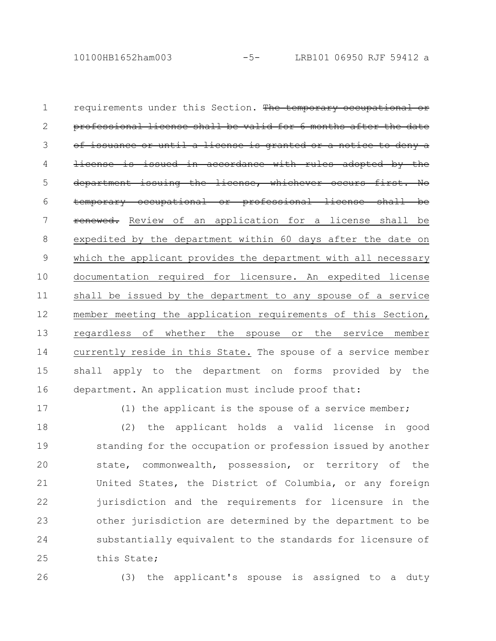requirements under this Section. The temporary occupational professional license shall be valid for 6 months after the date of issuance or until a license is granted or a notice to deny a license is issued in accordance with rules adopted department issuing the license, whichever occurs temporary occupational or professional license renewed. Review of an application for a license shall be expedited by the department within 60 days after the date on which the applicant provides the department with all necessary documentation required for licensure. An expedited license shall be issued by the department to any spouse of a service member meeting the application requirements of this Section, regardless of whether the spouse or the service member currently reside in this State. The spouse of a service member shall apply to the department on forms provided by the department. An application must include proof that: 1 2 3 4 5 6 7 8 9 10 11 12 13 14 15 16

17

(1) the applicant is the spouse of a service member;

(2) the applicant holds a valid license in good standing for the occupation or profession issued by another state, commonwealth, possession, or territory of the United States, the District of Columbia, or any foreign jurisdiction and the requirements for licensure in the other jurisdiction are determined by the department to be substantially equivalent to the standards for licensure of this State; 18 19 20 21 22 23 24 25

26

(3) the applicant's spouse is assigned to a duty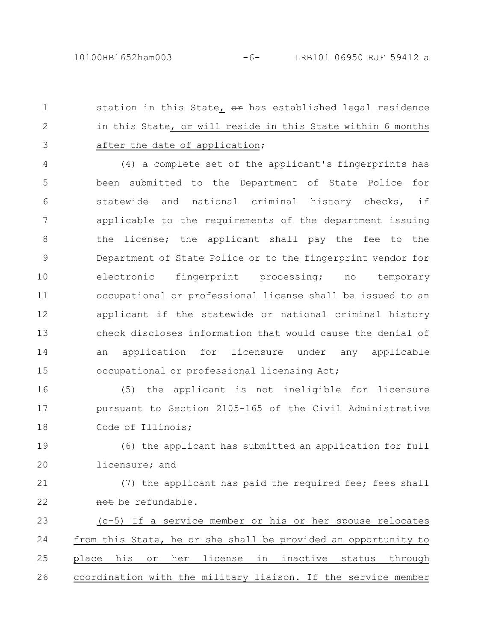station in this State, or has established legal residence in this State, or will reside in this State within 6 months after the date of application; 1 2 3

(4) a complete set of the applicant's fingerprints has been submitted to the Department of State Police for statewide and national criminal history checks, if applicable to the requirements of the department issuing the license; the applicant shall pay the fee to the Department of State Police or to the fingerprint vendor for electronic fingerprint processing; no temporary occupational or professional license shall be issued to an applicant if the statewide or national criminal history check discloses information that would cause the denial of an application for licensure under any applicable occupational or professional licensing Act; 4 5 6 7 8 9 10 11 12 13 14 15

(5) the applicant is not ineligible for licensure pursuant to Section 2105-165 of the Civil Administrative Code of Illinois; 16 17 18

(6) the applicant has submitted an application for full licensure; and 19 20

(7) the applicant has paid the required fee; fees shall not be refundable. 21 22

(c-5) If a service member or his or her spouse relocates from this State, he or she shall be provided an opportunity to place his or her license in inactive status through coordination with the military liaison. If the service member 23 24 25 26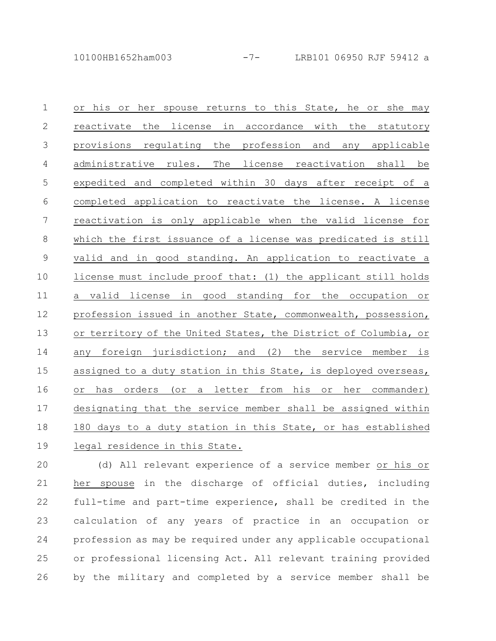or his or her spouse returns to this State, he or she may reactivate the license in accordance with the statutory provisions regulating the profession and any applicable administrative rules. The license reactivation shall be expedited and completed within 30 days after receipt of a completed application to reactivate the license. A license reactivation is only applicable when the valid license for which the first issuance of a license was predicated is still valid and in good standing. An application to reactivate a license must include proof that: (1) the applicant still holds a valid license in good standing for the occupation or profession issued in another State, commonwealth, possession, or territory of the United States, the District of Columbia, or any foreign jurisdiction; and (2) the service member is assigned to a duty station in this State, is deployed overseas, or has orders (or a letter from his or her commander) designating that the service member shall be assigned within 180 days to a duty station in this State, or has established legal residence in this State. 1 2 3 4 5 6 7 8 9 10 11 12 13 14 15 16 17 18 19

(d) All relevant experience of a service member or his or her spouse in the discharge of official duties, including full-time and part-time experience, shall be credited in the calculation of any years of practice in an occupation or profession as may be required under any applicable occupational or professional licensing Act. All relevant training provided by the military and completed by a service member shall be 20 21 22 23 24 25 26